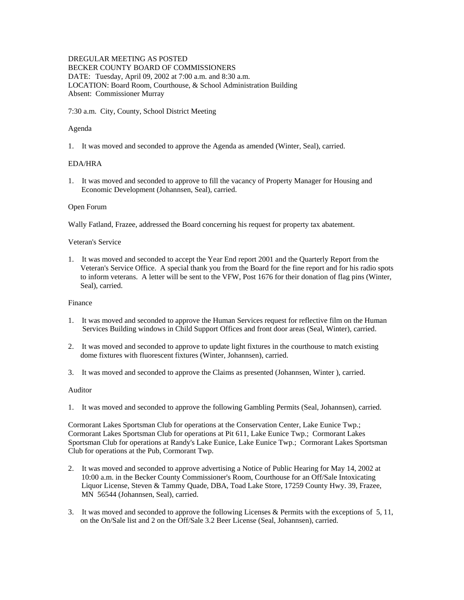# DREGULAR MEETING AS POSTED

BECKER COUNTY BOARD OF COMMISSIONERS DATE: Tuesday, April 09, 2002 at 7:00 a.m. and 8:30 a.m. LOCATION: Board Room, Courthouse, & School Administration Building Absent: Commissioner Murray

7:30 a.m. City, County, School District Meeting

## Agenda

1. It was moved and seconded to approve the Agenda as amended (Winter, Seal), carried.

## EDA/HRA

1. It was moved and seconded to approve to fill the vacancy of Property Manager for Housing and Economic Development (Johannsen, Seal), carried.

## Open Forum

Wally Fatland, Frazee, addressed the Board concerning his request for property tax abatement.

## Veteran's Service

1. It was moved and seconded to accept the Year End report 2001 and the Quarterly Report from the Veteran's Service Office. A special thank you from the Board for the fine report and for his radio spots to inform veterans. A letter will be sent to the VFW, Post 1676 for their donation of flag pins (Winter, Seal), carried.

#### Finance

- 1. It was moved and seconded to approve the Human Services request for reflective film on the Human Services Building windows in Child Support Offices and front door areas (Seal, Winter), carried.
- 2. It was moved and seconded to approve to update light fixtures in the courthouse to match existing dome fixtures with fluorescent fixtures (Winter, Johannsen), carried.
- 3. It was moved and seconded to approve the Claims as presented (Johannsen, Winter ), carried.

#### Auditor

1. It was moved and seconded to approve the following Gambling Permits (Seal, Johannsen), carried.

Cormorant Lakes Sportsman Club for operations at the Conservation Center, Lake Eunice Twp.; Cormorant Lakes Sportsman Club for operations at Pit 611, Lake Eunice Twp.; Cormorant Lakes Sportsman Club for operations at Randy's Lake Eunice, Lake Eunice Twp.; Cormorant Lakes Sportsman Club for operations at the Pub, Cormorant Twp.

- 2. It was moved and seconded to approve advertising a Notice of Public Hearing for May 14, 2002 at 10:00 a.m. in the Becker County Commissioner's Room, Courthouse for an Off/Sale Intoxicating Liquor License, Steven & Tammy Quade, DBA, Toad Lake Store, 17259 County Hwy. 39, Frazee, MN 56544 (Johannsen, Seal), carried.
- 3. It was moved and seconded to approve the following Licenses & Permits with the exceptions of 5, 11, on the On/Sale list and 2 on the Off/Sale 3.2 Beer License (Seal, Johannsen), carried.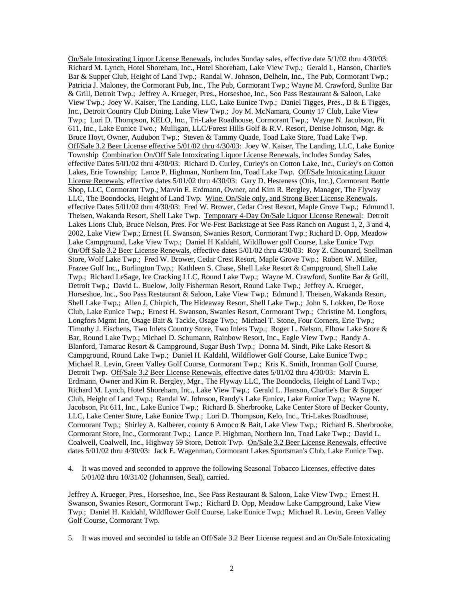On/Sale Intoxicating Liquor License Renewals, includes Sunday sales, effective date 5/1/02 thru 4/30/03: Richard M. Lynch, Hotel Shoreham, Inc., Hotel Shoreham, Lake View Twp.; Gerald L, Hanson, Charlie's Bar & Supper Club, Height of Land Twp.; Randal W. Johnson, Delheln, Inc., The Pub, Cormorant Twp.; Patricia J. Maloney, the Cormorant Pub, Inc., The Pub, Cormorant Twp.; Wayne M. Crawford, Sunlite Bar & Grill, Detroit Twp.; Jeffrey A. Krueger, Pres., Horseshoe, Inc., Soo Pass Restaurant & Saloon, Lake View Twp.; Joey W. Kaiser, The Landing, LLC, Lake Eunice Twp.; Daniel Tigges, Pres., D & E Tigges, Inc., Detroit Country Club Dining, Lake View Twp.; Joy M. McNamara, County 17 Club, Lake View Twp.; Lori D. Thompson, KELO, Inc., Tri-Lake Roadhouse, Cormorant Twp.; Wayne N. Jacobson, Pit 611, Inc., Lake Eunice Two.; Mulligan, LLC/Forest Hills Golf & R.V. Resort, Denise Johnson, Mgr. & Bruce Hoyt, Owner, Audubon Twp.; Steven & Tammy Quade, Toad Lake Store, Toad Lake Twp. Off/Sale 3.2 Beer License effective 5/01/02 thru 4/30/03: Joey W. Kaiser, The Landing, LLC, Lake Eunice Township Combination On/Off Sale Intoxicating Liquor License Renewals, includes Sunday Sales, effective Dates 5/01/02 thru 4/30/03: Richard D. Curley, Curley's on Cotton Lake, Inc., Curley's on Cotton Lakes, Erie Township; Lance P. Highman, Northern Inn, Toad Lake Twp. Off/Sale Intoxicating Liquor License Renewals, effective dates 5/01/02 thru 4/30/03: Gary D. Hesteness (Otis, Inc.), Cormorant Bottle Shop, LLC, Cormorant Twp.; Marvin E. Erdmann, Owner, and Kim R. Bergley, Manager, The Flyway LLC, The Boondocks, Height of Land Twp. Wine, On/Sale only, and Strong Beer License Renewals, effective Dates 5/01/02 thru 4/30/03: Fred W. Brower, Cedar Crest Resort, Maple Grove Twp.; Edmund I. Theisen, Wakanda Resort, Shell Lake Twp. Temporary 4-Day On/Sale Liquor License Renewal: Detroit Lakes Lions Club, Bruce Nelson, Pres. For We-Fest Backstage at See Pass Ranch on August 1, 2, 3 and 4, 2002, Lake View Twp.; Ernest H. Swanson, Swanies Resort, Cormorant Twp.; Richard D. Opp, Meadow Lake Campground, Lake View Twp.; Daniel H Kaldahl, Wildflower golf Course, Lake Eunice Twp. On/Off Sale 3.2 Beer License Renewals, effective dates 5/01/02 thru 4/30/03: Roy Z. Chounard, Snellman Store, Wolf Lake Twp.; Fred W. Brower, Cedar Crest Resort, Maple Grove Twp.; Robert W. Miller, Frazee Golf Inc., Burlington Twp.; Kathleen S. Chase, Shell Lake Resort & Campground, Shell Lake Twp.; Richard LeSage, Ice Cracking LLC, Round Lake Twp.; Wayne M. Crawford, Sunlite Bar & Grill, Detroit Twp.; David L. Buelow, Jolly Fisherman Resort, Round Lake Twp.; Jeffrey A. Krueger, Horseshoe, Inc., Soo Pass Restaurant & Saloon, Lake View Twp.; Edmund I. Theisen, Wakanda Resort, Shell Lake Twp.; Allen J, Chirpich, The Hideaway Resort, Shell Lake Twp.; John S. Lokken, De Roxe Club, Lake Eunice Twp.; Ernest H. Swanson, Swanies Resort, Cormorant Twp.; Christine M. Longfors, Longfors Mgmt Inc, Osage Bait & Tackle, Osage Twp.; Michael T. Stone, Four Corners, Erie Twp.; Timothy J. Eischens, Two Inlets Country Store, Two Inlets Twp.; Roger L. Nelson, Elbow Lake Store & Bar, Round Lake Twp.; Michael D. Schumann, Rainbow Resort, Inc., Eagle View Twp.; Randy A. Blanford, Tamarac Resort & Campground, Sugar Bush Twp.; Donna M. Sindt, Pike Lake Resort & Campground, Round Lake Twp.; Daniel H. Kaldahl, Wildflower Golf Course, Lake Eunice Twp.; Michael R. Levin, Green Valley Golf Course, Cormorant Twp.; Kris K. Smith, Ironman Golf Course, Detroit Twp. Off/Sale 3.2 Beer License Renewals, effective dates 5/01/02 thru 4/30/03: Marvin E. Erdmann, Owner and Kim R. Bergley, Mgr., The Flyway LLC, The Boondocks, Height of Land Twp.; Richard M. Lynch, Hotel Shoreham, Inc., Lake View Twp.; Gerald L. Hanson, Charlie's Bar & Supper Club, Height of Land Twp.; Randal W. Johnson, Randy's Lake Eunice, Lake Eunice Twp.; Wayne N. Jacobson, Pit 611, Inc., Lake Eunice Twp.; Richard B. Sherbrooke, Lake Center Store of Becker County, LLC, Lake Center Store, Lake Eunice Twp.; Lori D. Thompson, Kelo, Inc., Tri-Lakes Roadhouse, Cormorant Twp.; Shirley A. Kalberer, county 6 Amoco & Bait, Lake View Twp.; Richard B. Sherbrooke, Cormorant Store, Inc., Cormorant Twp.; Lance P. Highman, Northern Inn, Toad Lake Twp.; David L. Coalwell, Coalwell, Inc., Highway 59 Store, Detroit Twp. On/Sale 3.2 Beer License Renewals, effective dates 5/01/02 thru 4/30/03: Jack E. Wagenman, Cormorant Lakes Sportsman's Club, Lake Eunice Twp.

4. It was moved and seconded to approve the following Seasonal Tobacco Licenses, effective dates 5/01/02 thru 10/31/02 (Johannsen, Seal), carried.

Jeffrey A. Krueger, Pres., Horseshoe, Inc., See Pass Restaurant & Saloon, Lake View Twp.; Ernest H. Swanson, Swanies Resort, Cormorant Twp.; Richard D. Opp, Meadow Lake Campground, Lake View Twp.; Daniel H. Kaldahl, Wildflower Golf Course, Lake Eunice Twp.; Michael R. Levin, Green Valley Golf Course, Cormorant Twp.

<sup>5.</sup> It was moved and seconded to table an Off/Sale 3.2 Beer License request and an On/Sale Intoxicating